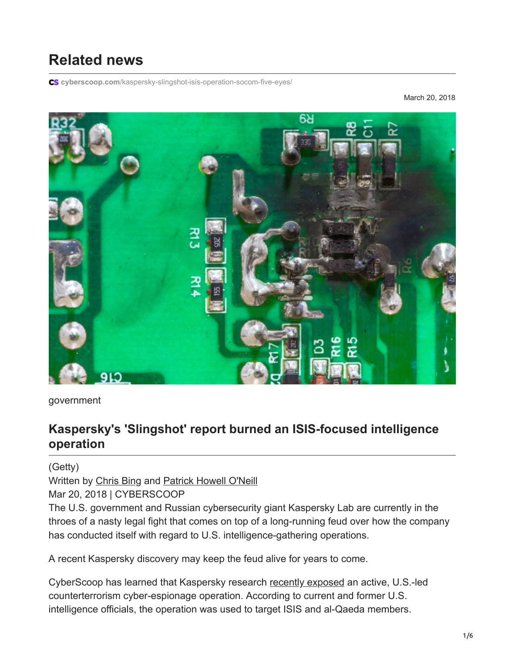# **Related news**

**cyberscoop.com**[/kaspersky-slingshot-isis-operation-socom-five-eyes/](https://www.cyberscoop.com/kaspersky-slingshot-isis-operation-socom-five-eyes/)

March 20, 2018



government

## **Kaspersky's 'Slingshot' report burned an ISIS-focused intelligence operation**

(Getty)

Written by [Chris Bing](https://www.cyberscoop.com/author/chris-bing/) and [Patrick Howell O'Neill](https://www.cyberscoop.com/author/oneill/)

Mar 20, 2018 | CYBERSCOOP

The U.S. government and Russian cybersecurity giant Kaspersky Lab are currently in the throes of a nasty legal fight that comes on top of a long-running feud over how the company has conducted itself with regard to U.S. intelligence-gathering operations.

A recent Kaspersky discovery may keep the feud alive for years to come.

CyberScoop has learned that Kaspersky research [recently exposed](https://securelist.com/apt-slingshot/84312/) an active, U.S.-led counterterrorism cyber-espionage operation. According to current and former U.S. intelligence officials, the operation was used to target ISIS and al-Qaeda members.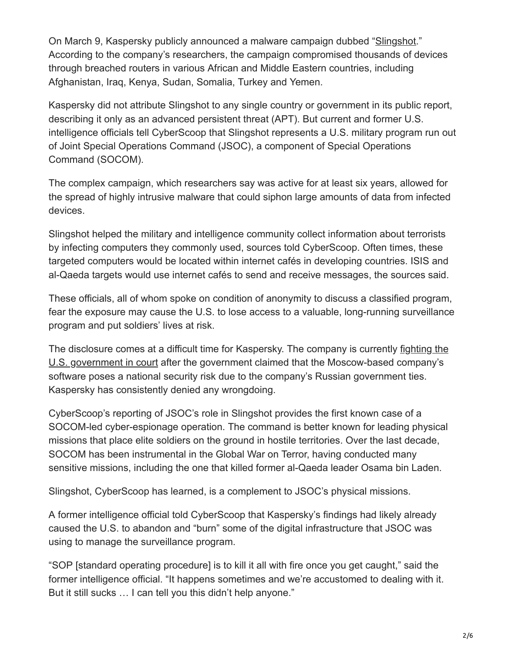On March 9, Kaspersky publicly announced a malware campaign dubbed ["Slingshot.](https://www.cyberscoop.com/kaspersky-slingshot-malware-apt/)" According to the company's researchers, the campaign compromised thousands of devices through breached routers in various African and Middle Eastern countries, including Afghanistan, Iraq, Kenya, Sudan, Somalia, Turkey and Yemen.

Kaspersky did not attribute Slingshot to any single country or government in its public report, describing it only as an advanced persistent threat (APT). But current and former U.S. intelligence officials tell CyberScoop that Slingshot represents a U.S. military program run out of Joint Special Operations Command (JSOC), a component of Special Operations Command (SOCOM).

The complex campaign, which researchers say was active for at least six years, allowed for the spread of highly intrusive malware that could siphon large amounts of data from infected devices.

Slingshot helped the military and intelligence community collect information about terrorists by infecting computers they commonly used, sources told CyberScoop. Often times, these targeted computers would be located within internet cafés in developing countries. ISIS and al-Qaeda targets would use internet cafés to send and receive messages, the sources said.

These officials, all of whom spoke on condition of anonymity to discuss a classified program, fear the exposure may cause the U.S. to lose access to a valuable, long-running surveillance program and put soldiers' lives at risk.

[The disclosure comes at a difficult time for Kaspersky. The company is currently fighting the](https://www.cyberscoop.com/kaspersky-lawsuit-ndaa-ban/) U.S. government in court after the government claimed that the Moscow-based company's software poses a national security risk due to the company's Russian government ties. Kaspersky has consistently denied any wrongdoing.

CyberScoop's reporting of JSOC's role in Slingshot provides the first known case of a SOCOM-led cyber-espionage operation. The command is better known for leading physical missions that place elite soldiers on the ground in hostile territories. Over the last decade, SOCOM has been instrumental in the Global War on Terror, having conducted many sensitive missions, including the one that killed former al-Qaeda leader Osama bin Laden.

Slingshot, CyberScoop has learned, is a complement to JSOC's physical missions.

A former intelligence official told CyberScoop that Kaspersky's findings had likely already caused the U.S. to abandon and "burn" some of the digital infrastructure that JSOC was using to manage the surveillance program.

"SOP [standard operating procedure] is to kill it all with fire once you get caught," said the former intelligence official. "It happens sometimes and we're accustomed to dealing with it. But it still sucks … I can tell you this didn't help anyone."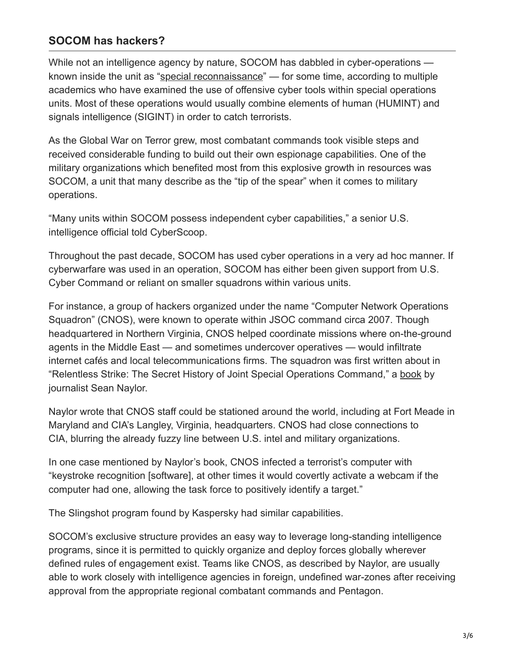#### **SOCOM has hackers?**

While not an intelligence agency by nature, SOCOM has dabbled in cyber-operations — known inside the unit as ["special reconnaissance"](https://en.wikipedia.org/wiki/Special_reconnaissance) — for some time, according to multiple academics who have examined the use of offensive cyber tools within special operations units. Most of these operations would usually combine elements of human (HUMINT) and signals intelligence (SIGINT) in order to catch terrorists.

As the Global War on Terror grew, most combatant commands took visible steps and received considerable funding to build out their own espionage capabilities. One of the military organizations which benefited most from this explosive growth in resources was SOCOM, a unit that many describe as the "tip of the spear" when it comes to military operations.

"Many units within SOCOM possess independent cyber capabilities," a senior U.S. intelligence official told CyberScoop.

Throughout the past decade, SOCOM has used cyber operations in a very ad hoc manner. If cyberwarfare was used in an operation, SOCOM has either been given support from U.S. Cyber Command or reliant on smaller squadrons within various units.

For instance, a group of hackers organized under the name "Computer Network Operations Squadron" (CNOS), were known to operate within JSOC command circa 2007. Though headquartered in Northern Virginia, CNOS helped coordinate missions where on-the-ground agents in the Middle East — and sometimes undercover operatives — would infiltrate internet cafés and local telecommunications firms. The squadron was first written about in "Relentless Strike: The Secret History of Joint Special Operations Command," a [book](https://www.amazon.com/dp/B00TDTR5ZW/ref=dp-kindle-redirect?_encoding=UTF8&btkr=1) by journalist Sean Naylor.

Naylor wrote that CNOS staff could be stationed around the world, including at Fort Meade in Maryland and CIA's Langley, Virginia, headquarters. CNOS had close connections to CIA, blurring the already fuzzy line between U.S. intel and military organizations.

In one case mentioned by Naylor's book, CNOS infected a terrorist's computer with "keystroke recognition [software], at other times it would covertly activate a webcam if the computer had one, allowing the task force to positively identify a target."

The Slingshot program found by Kaspersky had similar capabilities.

SOCOM's exclusive structure provides an easy way to leverage long-standing intelligence programs, since it is permitted to quickly organize and deploy forces globally wherever defined rules of engagement exist. Teams like CNOS, as described by Naylor, are usually able to work closely with intelligence agencies in foreign, undefined war-zones after receiving approval from the appropriate regional combatant commands and Pentagon.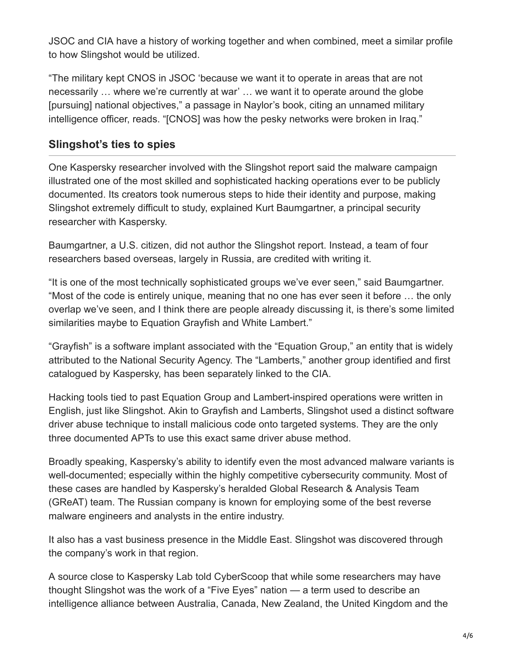JSOC and CIA have a history of working together and when combined, meet a similar profile to how Slingshot would be utilized.

"The military kept CNOS in JSOC 'because we want it to operate in areas that are not necessarily … where we're currently at war' … we want it to operate around the globe [pursuing] national objectives," a passage in Naylor's book, citing an unnamed military intelligence officer, reads. "[CNOS] was how the pesky networks were broken in Iraq."

#### **Slingshot's ties to spies**

One Kaspersky researcher involved with the Slingshot report said the malware campaign illustrated one of the most skilled and sophisticated hacking operations ever to be publicly documented. Its creators took numerous steps to hide their identity and purpose, making Slingshot extremely difficult to study, explained Kurt Baumgartner, a principal security researcher with Kaspersky.

Baumgartner, a U.S. citizen, did not author the Slingshot report. Instead, a team of four researchers based overseas, largely in Russia, are credited with writing it.

"It is one of the most technically sophisticated groups we've ever seen," said Baumgartner. "Most of the code is entirely unique, meaning that no one has ever seen it before … the only overlap we've seen, and I think there are people already discussing it, is there's some limited similarities maybe to Equation Grayfish and White Lambert."

"Grayfish" is a software implant associated with the "Equation Group," an entity that is widely attributed to the National Security Agency. The "Lamberts," another group identified and first catalogued by Kaspersky, has been separately linked to the CIA.

Hacking tools tied to past Equation Group and Lambert-inspired operations were written in English, just like Slingshot. Akin to Grayfish and Lamberts, Slingshot used a distinct software driver abuse technique to install malicious code onto targeted systems. They are the only three documented APTs to use this exact same driver abuse method.

Broadly speaking, Kaspersky's ability to identify even the most advanced malware variants is well-documented; especially within the highly competitive cybersecurity community. Most of these cases are handled by Kaspersky's heralded Global Research & Analysis Team (GReAT) team. The Russian company is known for employing some of the best reverse malware engineers and analysts in the entire industry.

It also has a vast business presence in the Middle East. Slingshot was discovered through the company's work in that region.

A source close to Kaspersky Lab told CyberScoop that while some researchers may have thought Slingshot was the work of a "Five Eyes" nation — a term used to describe an intelligence alliance between Australia, Canada, New Zealand, the United Kingdom and the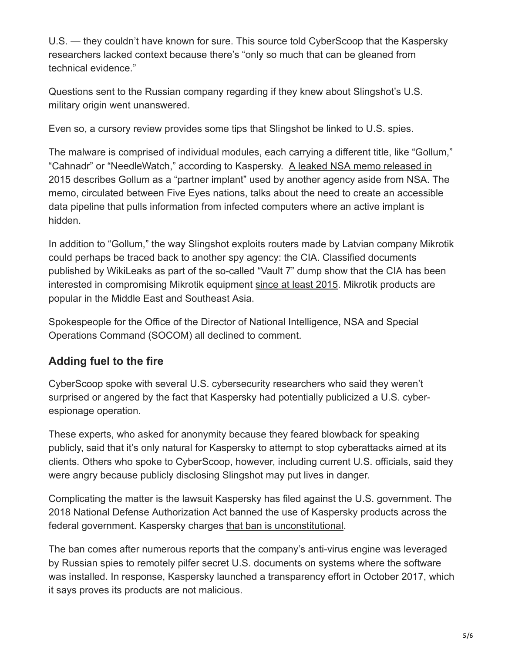U.S. — they couldn't have known for sure. This source told CyberScoop that the Kaspersky researchers lacked context because there's "only so much that can be gleaned from technical evidence."

Questions sent to the Russian company regarding if they knew about Slingshot's U.S. military origin went unanswered.

Even so, a cursory review provides some tips that Slingshot be linked to U.S. spies.

The malware is comprised of individual modules, each carrying a different title, like "Gollum," ["Cahnadr" or "NeedleWatch," according to Kaspersky. A leaked NSA memo released in](https://search.edwardsnowden.com/docs/CNEPresenceinCT10StatusReport2015-01-17_nsadocs_snowden_doc) 2015 describes Gollum as a "partner implant" used by another agency aside from NSA. The memo, circulated between Five Eyes nations, talks about the need to create an accessible data pipeline that pulls information from infected computers where an active implant is hidden.

In addition to "Gollum," the way Slingshot exploits routers made by Latvian company Mikrotik could perhaps be traced back to another spy agency: the CIA. Classified documents published by WikiLeaks as part of the so-called "Vault 7" dump show that the CIA has been interested in compromising Mikrotik equipment [since at least 2015.](https://wikileaks.org/vault7/darkmatter/document/hive-UsersGuide/) Mikrotik products are popular in the Middle East and Southeast Asia.

Spokespeople for the Office of the Director of National Intelligence, NSA and Special Operations Command (SOCOM) all declined to comment.

### **Adding fuel to the fire**

CyberScoop spoke with several U.S. cybersecurity researchers who said they weren't surprised or angered by the fact that Kaspersky had potentially publicized a U.S. cyberespionage operation.

These experts, who asked for anonymity because they feared blowback for speaking publicly, said that it's only natural for Kaspersky to attempt to stop cyberattacks aimed at its clients. Others who spoke to CyberScoop, however, including current U.S. officials, said they were angry because publicly disclosing Slingshot may put lives in danger.

Complicating the matter is the lawsuit Kaspersky has filed against the U.S. government. The 2018 National Defense Authorization Act banned the use of Kaspersky products across the federal government. Kaspersky charges [that ban is unconstitutional](https://www.cyberscoop.com/kaspersky-lawsuit-ndaa-ban/).

The ban comes after numerous reports that the company's anti-virus engine was leveraged by Russian spies to remotely pilfer secret U.S. documents on systems where the software was installed. In response, Kaspersky launched a transparency effort in October 2017, which it says proves its products are not malicious.